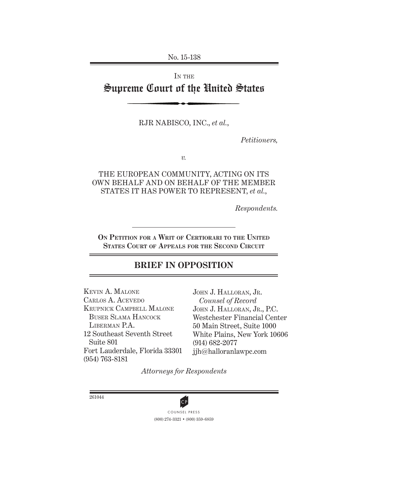No. 15-138

# IN THE Supreme Court of the United States

RJR NABISCO, INC., *et al.*,

*Petitioners,*

*v.*

THE EUROPEAN COMMUNITY, ACTING ON ITS OWN BEHALF AND ON BEHALF OF THE MEMBER STATES IT HAS POWER TO REPRESENT, *et al.*,

*Respondents.*

**ON PETITION FOR A WRIT OF CERTIORARI TO THE UNITED STATES COURT OF APPEALS FOR THE SECOND CIRCUIT**

# **BRIEF IN OPPOSITION**

KEVIN A. MALONE CARLOS A. ACEVEDO KRUPNICK CAMPBELL MALONE BUSER SLAMA HANCOCK LIBERMAN P.A. 12 Southeast Seventh Street Suite 801 Fort Lauderdale, Florida 33301 (954) 763-8181

JOHN J. HALLORAN, JR. *Counsel of Record* JOHN J. HALLORAN, JR., P.C. Westchester Financial Center 50 Main Street, Suite 1000 White Plains, New York 10606 (914) 682-2077 jjh@halloranlawpc.com

*Attorneys for Respondents*

261044



(800) 274-3321 • (800) 359-6859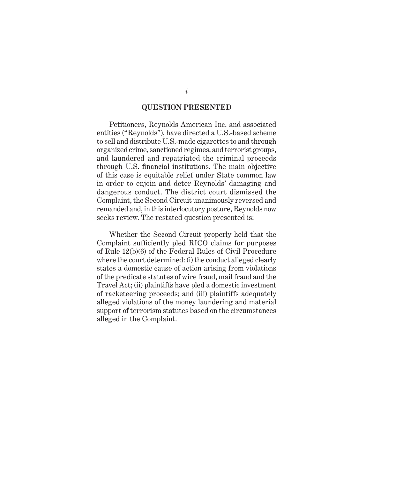### **QUESTION PRESENTED**

Petitioners, Reynolds American Inc. and associated entities ("Reynolds"), have directed a U.S.-based scheme to sell and distribute U.S.-made cigarettes to and through organized crime, sanctioned regimes, and terrorist groups, and laundered and repatriated the criminal proceeds through U.S. financial institutions. The main objective of this case is equitable relief under State common law in order to enjoin and deter Reynolds' damaging and dangerous conduct. The district court dismissed the Complaint, the Second Circuit unanimously reversed and remanded and, in this interlocutory posture, Reynolds now seeks review. The restated question presented is:

Whether the Second Circuit properly held that the Complaint sufficiently pled RICO claims for purposes of Rule 12(b)(6) of the Federal Rules of Civil Procedure where the court determined: (i) the conduct alleged clearly states a domestic cause of action arising from violations of the predicate statutes of wire fraud, mail fraud and the Travel Act; (ii) plaintiffs have pled a domestic investment of racketeering proceeds; and (iii) plaintiffs adequately alleged violations of the money laundering and material support of terrorism statutes based on the circumstances alleged in the Complaint.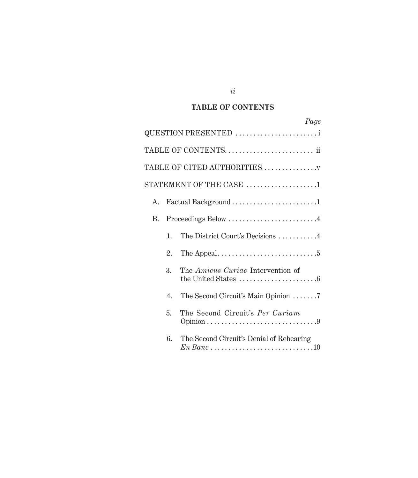# **TABLE OF CONTENTS**

|    |    | Page                                                                                                               |
|----|----|--------------------------------------------------------------------------------------------------------------------|
|    |    | QUESTION PRESENTED                                                                                                 |
|    |    | TABLE OF CONTENTS ii                                                                                               |
|    |    | TABLE OF CITED AUTHORITIES                                                                                         |
|    |    | STATEMENT OF THE CASE $\,\ldots\ldots\ldots\ldots\ldots\ldots\ldots\,$                                             |
| A. |    | Factual Background1                                                                                                |
| B. |    | Proceedings Below 4                                                                                                |
|    | 1. | The District Court's Decisions 4                                                                                   |
|    | 2. |                                                                                                                    |
|    | 3. | The Amicus Curiae Intervention of<br>the United States $\dots\dots\dots\dots\dots\dots\dots\dots$                  |
|    | 4. | The Second Circuit's Main Opinion 7                                                                                |
|    | 5. | The Second Circuit's Per Curiam<br>Opinion $\ldots \ldots \ldots \ldots \ldots \ldots \ldots \ldots \ldots \ldots$ |
|    | 6. | The Second Circuit's Denial of Rehearing                                                                           |

# *ii*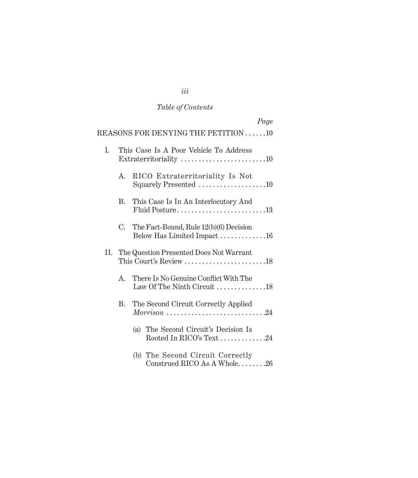# *Table of Contents*

|     |         | Page                                                                                                     |  |
|-----|---------|----------------------------------------------------------------------------------------------------------|--|
|     |         | REASONS FOR DENYING THE PETITION 10                                                                      |  |
| I.  |         | This Case Is A Poor Vehicle To Address<br>Extraterritoriality $\dots\dots\dots\dots\dots\dots\dots\dots$ |  |
|     | $A_{-}$ | RICO Extraterritoriality Is Not<br>Squarely Presented 10                                                 |  |
|     | B.      | This Case Is In An Interlocutory And<br>Fluid Posture13                                                  |  |
|     | C.      | The Fact-Bound, Rule 12(b)(6) Decision<br>Below Has Limited Impact16                                     |  |
| II. |         | The Question Presented Does Not Warrant                                                                  |  |
|     | A.      | There Is No Genuine Conflict With The<br>Law Of The Ninth Circuit $\ldots \ldots \ldots \ldots 18$       |  |
|     | B.      | The Second Circuit Correctly Applied<br>$Morrison$ 24                                                    |  |
|     |         | (a) The Second Circuit's Decision Is<br>Rooted In RICO's Text24                                          |  |
|     |         | (b) The Second Circuit Correctly<br>Construed RICO As A Whole26                                          |  |

# *iii*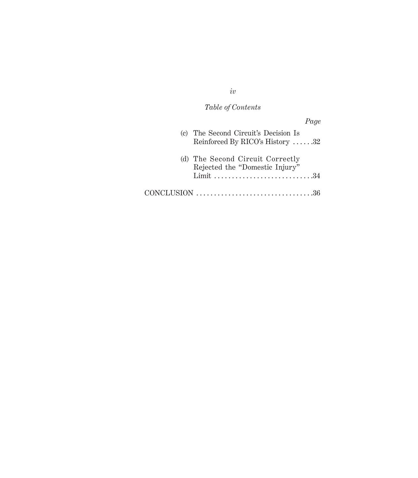# *Table of Contents*

| Page                                                                           |
|--------------------------------------------------------------------------------|
| (c) The Second Circuit's Decision Is<br>Reinforced By RICO's History 32        |
| (d) The Second Circuit Correctly<br>Rejected the "Domestic Injury"<br>Limit 34 |
|                                                                                |

*iv*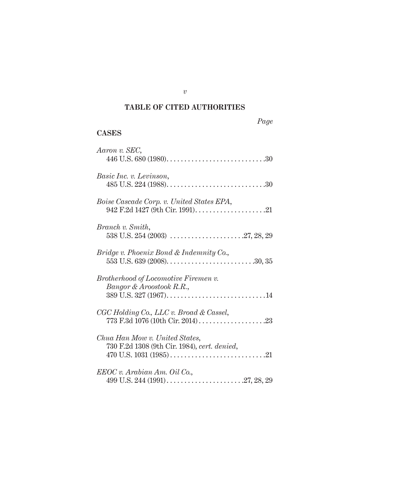# **TABLE OF CITED AUTHORITIES**

# **CASES**

| Aaron v. SEC,                                                                  |
|--------------------------------------------------------------------------------|
| Basic Inc. v. Levinson,                                                        |
| Boise Cascade Corp. v. United States EPA,                                      |
| Branch v. Smith,                                                               |
| Bridge v. Phoenix Bond & Indemnity Co.,                                        |
| Brotherhood of Locomotive Firemen v.<br>Bangor & Aroostook R.R.,               |
| CGC Holding Co., LLC v. Broad & Cassel,                                        |
| Chua Han Mow v. United States,<br>730 F.2d 1308 (9th Cir. 1984), cert. denied, |
| EEOC v. Arabian Am. Oil Co.,                                                   |

*v*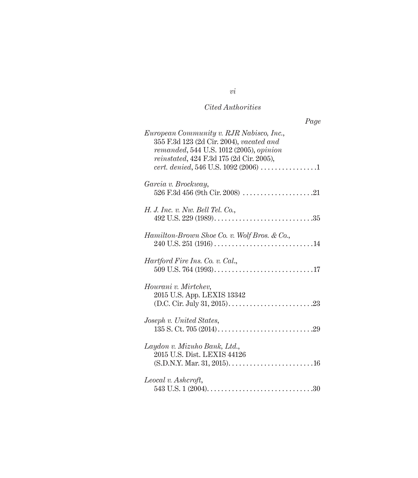# *Cited Authorities*

| Page                                                                                                                                                                                                                            |
|---------------------------------------------------------------------------------------------------------------------------------------------------------------------------------------------------------------------------------|
| European Community v. RJR Nabisco, Inc.,<br>355 F.3d 123 (2d Cir. 2004), vacated and<br>$remanded, 544$ U.S. $1012$ (2005), opinion<br><i>reinstated</i> , 424 F.3d 175 (2d Cir. 2005),<br>cert. denied, 546 U.S. 1092 (2006) 1 |
| Garcia v. Brockway,                                                                                                                                                                                                             |
| H. J. Inc. v. Nw. Bell Tel. Co.,                                                                                                                                                                                                |
| Hamilton-Brown Shoe Co. v. Wolf Bros. & Co.,                                                                                                                                                                                    |
| <i>Hartford Fire Ins. Co. v. Cal.</i> ,                                                                                                                                                                                         |
| Hourani v. Mirtchev,<br>2015 U.S. App. LEXIS 13342                                                                                                                                                                              |
| Joseph v. United States,                                                                                                                                                                                                        |
| Laydon v. Mizuho Bank, Ltd.,<br>2015 U.S. Dist. LEXIS 44126                                                                                                                                                                     |
| Leocal v. Ashcroft,                                                                                                                                                                                                             |

*vi*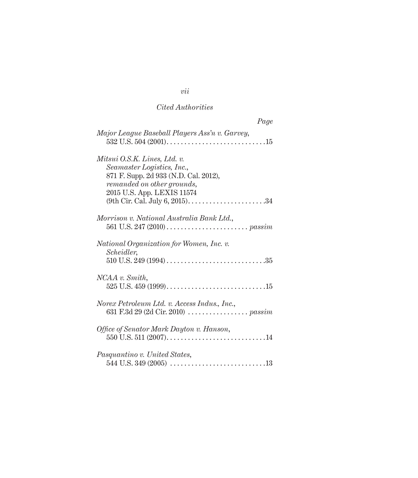# *Cited Authorities*

| Page                                                                                                                                                            |
|-----------------------------------------------------------------------------------------------------------------------------------------------------------------|
| Major League Baseball Players Ass'n v. Garvey,                                                                                                                  |
| Mitsui O.S.K. Lines, Ltd. v.<br>Seamaster Logistics, Inc.,<br>871 F. Supp. 2d 933 (N.D. Cal. 2012),<br>remanded on other grounds,<br>2015 U.S. App. LEXIS 11574 |
| Morrison v. National Australia Bank Ltd.,                                                                                                                       |
| National Organization for Women, Inc. v.<br>Scheidler,                                                                                                          |
| NCAA v. Smith,                                                                                                                                                  |
| Norex Petroleum Ltd. v. Access Indus., Inc.,                                                                                                                    |
| Office of Senator Mark Dayton v. Hanson,                                                                                                                        |
| Pasquantino v. United States,                                                                                                                                   |

# *vii*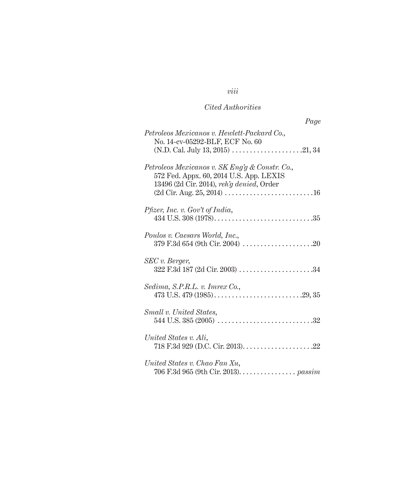# *viii*

# *Cited Authorities*

| Page                                                                                                                                   |
|----------------------------------------------------------------------------------------------------------------------------------------|
| Petroleos Mexicanos v. Hewlett-Packard Co.,<br>No. 14-cv-05292-BLF, ECF No. 60                                                         |
| Petroleos Mexicanos v. SK Eng'g & Constr. Co.,<br>572 Fed. Appx. 60, 2014 U.S. App. LEXIS<br>13496 (2d Cir. 2014), reh'g denied, Order |
| Pfizer, Inc. v. Gov't of India,                                                                                                        |
| Poulos v. Caesars World, Inc.,<br>379 F.3d 654 (9th Cir. 2004) $\ldots \ldots \ldots \ldots \ldots \ldots \ldots$                      |
| SEC v. Berger,<br>322 F.3d 187 (2d Cir. 2003) 34                                                                                       |
| Sedima, S.P.R.L. v. Imrex Co.,                                                                                                         |
| Small v. United States,                                                                                                                |
| United States v. Ali,                                                                                                                  |
| United States v. Chao Fan Xu,<br>706 F.3d 965 (9th Cir. 2013). passim                                                                  |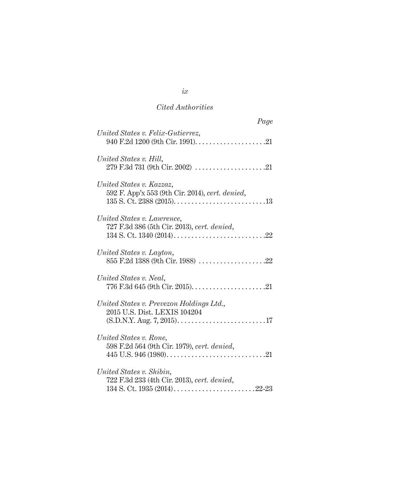# *Cited Authorities*

| Page                                                                        |
|-----------------------------------------------------------------------------|
| United States v. Felix-Gutierrez,                                           |
| United States v. Hill,                                                      |
| United States v. Kazzaz,<br>592 F. App'x 553 (9th Cir. 2014), cert. denied, |
| United States v. Lawrence,<br>727 F.3d 386 (5th Cir. 2013), cert. denied,   |
| United States v. Layton,                                                    |
| United States v. Neal,                                                      |
| United States v. Prevezon Holdings Ltd.,<br>2015 U.S. Dist. LEXIS 104204    |
| United States v. Rone,<br>598 F.2d 564 (9th Cir. 1979), cert. denied,       |
| United States v. Shibin,<br>722 F.3d 233 (4th Cir. 2013), cert. denied,     |

*ix*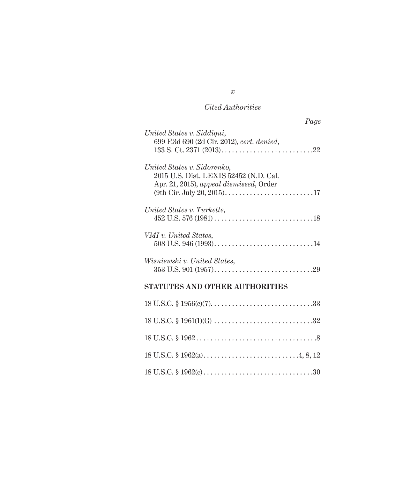# *Cited Authorities*

| Page |
|------|
|      |
|      |
|      |
|      |
|      |
|      |
|      |
|      |
|      |
|      |
|      |
|      |
|      |
|      |

# **STATUTES AND OTHER AUTHORITIES**

*x*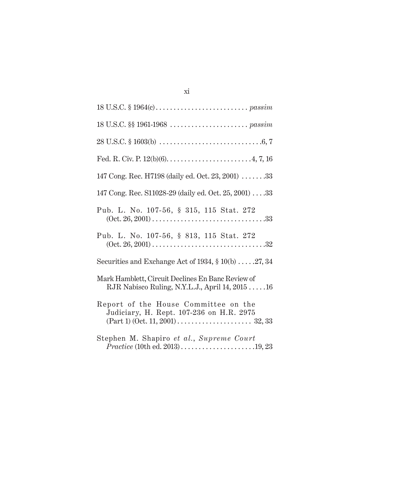| 147 Cong. Rec. H7198 (daily ed. Oct. 23, 2001) 33                                                                                                                                    |
|--------------------------------------------------------------------------------------------------------------------------------------------------------------------------------------|
| 147 Cong. Rec. S11028-29 (daily ed. Oct. 25, 2001) 33                                                                                                                                |
| Pub. L. No. 107-56, § 315, 115 Stat. 272                                                                                                                                             |
| Pub. L. No. 107-56, § 813, 115 Stat. 272                                                                                                                                             |
| Securities and Exchange Act of 1934, $\S 10(b)$ 27, 34                                                                                                                               |
| Mark Hamblett, Circuit Declines En Banc Review of<br>RJR Nabisco Ruling, N.Y.L.J., April 14, 2015  16                                                                                |
| Report of the House Committee on the<br>Judiciary, H. Rept. 107-236 on H.R. 2975<br>$(Part 1) (Oct. 11, 2001) \ldots \ldots \ldots \ldots \ldots \ldots \ldots \ldots \ldots 32, 33$ |
| Stephen M. Shapiro et al., Supreme Court<br>$Practice (10th ed. 2013) \dots (1013)$                                                                                                  |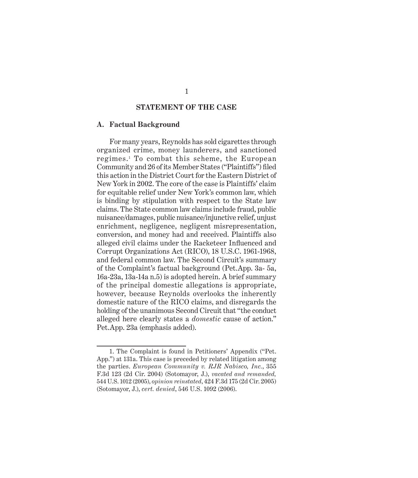### **STATEMENT OF THE CASE**

#### **A. Factual Background**

For many years, Reynolds has sold cigarettes through organized crime, money launderers, and sanctioned regimes.<sup>1</sup> To combat this scheme, the European Community and 26 of its Member States ("Plaintiffs") filed this action in the District Court for the Eastern District of New York in 2002. The core of the case is Plaintiffs' claim for equitable relief under New York's common law, which is binding by stipulation with respect to the State law claims. The State common law claims include fraud, public nuisance/damages, public nuisance/injunctive relief, unjust enrichment, negligence, negligent misrepresentation, conversion, and money had and received. Plaintiffs also alleged civil claims under the Racketeer Influenced and Corrupt Organizations Act (RICO), 18 U.S.C. 1961-1968, and federal common law. The Second Circuit's summary of the Complaint's factual background (Pet.App. 3a- 5a, 16a-23a, 13a-14a n.5) is adopted herein. A brief summary of the principal domestic allegations is appropriate, however, because Reynolds overlooks the inherently domestic nature of the RICO claims, and disregards the holding of the unanimous Second Circuit that "the conduct alleged here clearly states a *domestic* cause of action." Pet.App. 23a (emphasis added).

<sup>1.</sup> The Complaint is found in Petitioners' Appendix ("Pet. App.") at 131a. This case is preceded by related litigation among the parties. *European Community v. RJR Nabisco, Inc.*, 355 F.3d 123 (2d Cir. 2004) (Sotomayor, J.), *vacated and remanded,*  544 U.S. 1012 (2005), *opinion reinstated*, 424 F.3d 175 (2d Cir. 2005) (Sotomayor, J.), *cert. denied*, 546 U.S. 1092 (2006).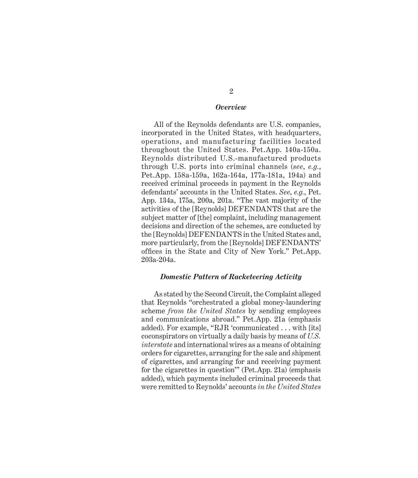#### *Overview*

All of the Reynolds defendants are U.S. companies, incorporated in the United States, with headquarters, operations, and manufacturing facilities located throughout the United States. Pet.App. 140a-150a. Reynolds distributed U.S.-manufactured products through U.S. ports into criminal channels (*see*, *e.g.*, Pet.App. 158a-159a, 162a-164a, 177a-181a, 194a) and received criminal proceeds in payment in the Reynolds defendants' accounts in the United States. *See*, *e.g.*, Pet. App. 134a, 175a, 200a, 201a. "The vast majority of the activities of the [Reynolds] DEFENDANTS that are the subject matter of [the] complaint, including management decisions and direction of the schemes, are conducted by the [Reynolds] DEFENDANTS in the United States and, more particularly, from the [Reynolds] DEFENDANTS' offices in the State and City of New York." Pet.App. 203a-204a.

#### *Domestic Pattern of Racketeering Activity*

As stated by the Second Circuit, the Complaint alleged that Reynolds "orchestrated a global money-laundering scheme *from the United States* by sending employees and communications abroad." Pet.App. 21a (emphasis added). For example, "RJR 'communicated . . . with [its] coconspirators on virtually a daily basis by means of *U.S. interstate* and international wires as a means of obtaining orders for cigarettes, arranging for the sale and shipment of cigarettes, and arranging for and receiving payment for the cigarettes in question'" (Pet.App. 21a) (emphasis added), which payments included criminal proceeds that were remitted to Reynolds' accounts *in the United States*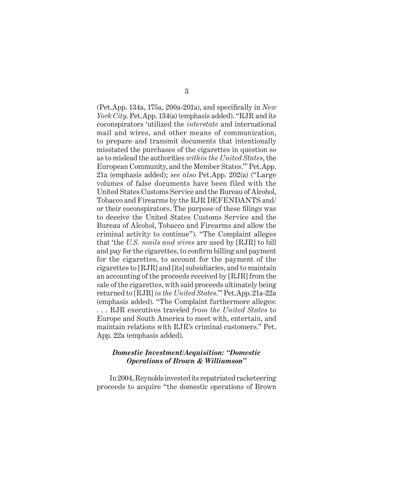(Pet.App. 134a, 175a, 200a-201a), and specifically in *New York City*. Pet.App. 134(a) (emphasis added). "RJR and its coconspirators 'utilized the *interstate* and international mail and wires, and other means of communication, to prepare and transmit documents that intentionally misstated the purchases of the cigarettes in question so as to mislead the authorities *within the United States*, the European Community, and the Member States.'" Pet.App. 21a (emphasis added); *see also* Pet.App. 202(a) ("Large volumes of false documents have been filed with the United States Customs Service and the Bureau of Alcohol, Tobacco and Firearms by the RJR DEFENDANTS and/ or their coconspirators. The purpose of these filings was to deceive the United States Customs Service and the Bureau of Alcohol, Tobacco and Firearms and allow the criminal activity to continue"). "The Complaint alleges that 'the *U.S. mails and wires* are used by [RJR] to bill and pay for the cigarettes, to confirm billing and payment for the cigarettes, to account for the payment of the cigarettes to [RJR] and [its] subsidiaries, and to maintain an accounting of the proceeds received by [RJR] from the sale of the cigarettes, with said proceeds ultimately being returned to [RJR] *in the United States*.'" Pet.App. 21a-22a (emphasis added). "The Complaint furthermore alleges: . . . RJR executives traveled *from the United States* to Europe and South America to meet with, entertain, and maintain relations with RJR's criminal customers." Pet. App. 22a (emphasis added).

### *Domestic Investment/Acquisition: "Domestic Operations of Brown & Williamson"*

In 2004, Reynolds invested its repatriated racketeering proceeds to acquire "the domestic operations of Brown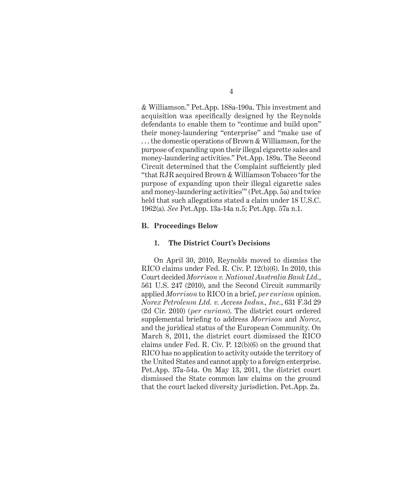& Williamson." Pet.App. 188a-190a. This investment and acquisition was specifically designed by the Reynolds defendants to enable them to "continue and build upon" their money-laundering "enterprise" and "make use of . . . the domestic operations of Brown & Williamson, for the purpose of expanding upon their illegal cigarette sales and money-laundering activities." Pet.App. 189a. The Second Circuit determined that the Complaint sufficiently pled "that RJR acquired Brown & Williamson Tobacco 'for the purpose of expanding upon their illegal cigarette sales and money-laundering activities'" (Pet.App. 5a) and twice held that such allegations stated a claim under 18 U.S.C. 1962(a). *See* Pet.App. 13a-14a n.5; Pet.App. 57a n.1.

#### **B. Proceedings Below**

#### **1. The District Court's Decisions**

On April 30, 2010, Reynolds moved to dismiss the RICO claims under Fed. R. Civ. P. 12(b)(6). In 2010, this Court decided *Morrison v. National Australia Bank Ltd.*, 561 U.S. 247 (2010), and the Second Circuit summarily applied *Morrison* to RICO in a brief, *per curiam* opinion. *Norex Petroleum Ltd. v. Access Indus., Inc.*, 631 F.3d 29 (2d Cir. 2010) (*per curiam*). The district court ordered supplemental briefing to address *Morrison* and *Norex*, and the juridical status of the European Community. On March 8, 2011, the district court dismissed the RICO claims under Fed. R. Civ. P. 12(b)(6) on the ground that RICO has no application to activity outside the territory of the United States and cannot apply to a foreign enterprise. Pet.App. 37a-54a. On May 13, 2011, the district court dismissed the State common law claims on the ground that the court lacked diversity jurisdiction. Pet.App. 2a.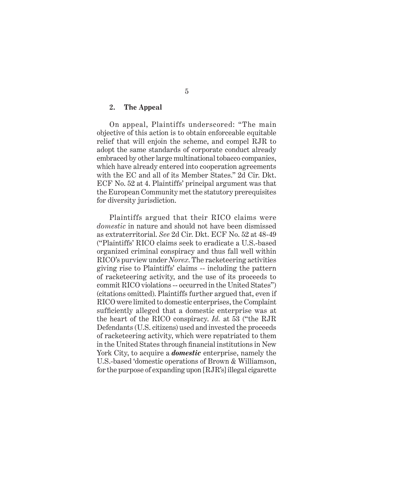## **2. The Appeal**

On appeal, Plaintiffs underscored: "The main objective of this action is to obtain enforceable equitable relief that will enjoin the scheme, and compel RJR to adopt the same standards of corporate conduct already embraced by other large multinational tobacco companies, which have already entered into cooperation agreements with the EC and all of its Member States." 2d Cir. Dkt. ECF No. 52 at 4. Plaintiffs' principal argument was that the European Community met the statutory prerequisites for diversity jurisdiction.

Plaintiffs argued that their RICO claims were *domestic* in nature and should not have been dismissed as extraterritorial. *See* 2d Cir. Dkt. ECF No. 52 at 48-49 ("Plaintiffs' RICO claims seek to eradicate a U.S.-based organized criminal conspiracy and thus fall well within RICO's purview under *Norex*. The racketeering activities giving rise to Plaintiffs' claims -- including the pattern of racketeering activity, and the use of its proceeds to commit RICO violations -- occurred in the United States") (citations omitted). Plaintiffs further argued that, even if RICO were limited to domestic enterprises, the Complaint sufficiently alleged that a domestic enterprise was at the heart of the RICO conspiracy. *Id.* at 53 ("the RJR Defendants (U.S. citizens) used and invested the proceeds of racketeering activity, which were repatriated to them in the United States through financial institutions in New York City, to acquire a *domestic* enterprise, namely the U.S.-based 'domestic operations of Brown & Williamson, for the purpose of expanding upon [RJR's] illegal cigarette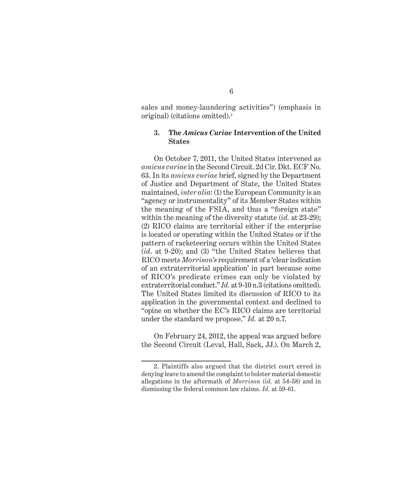sales and money-laundering activities") (emphasis in original) (citations omitted).2

## **3. The** *Amicus Curiae* **Intervention of the United States**

On October 7, 2011, the United States intervened as *amicus curiae* in the Second Circuit. 2d Cir. Dkt. ECF No. 63. In its *amicus curiae* brief, signed by the Department of Justice and Department of State, the United States maintained, *inter alia*: (1) the European Community is an "agency or instrumentality" of its Member States within the meaning of the FSIA, and thus a "foreign state" within the meaning of the diversity statute (*id.* at 23-29); (2) RICO claims are territorial either if the enterprise is located or operating within the United States or if the pattern of racketeering occurs within the United States (*id*. at 9-20); and (3) "the United States believes that RICO meets *Morrison's* requirement of a 'clear indication of an extraterritorial application' in part because some of RICO's predicate crimes can only be violated by extraterritorial conduct." *Id.* at 9-10 n.3 (citations omitted). The United States limited its discussion of RICO to its application in the governmental context and declined to "opine on whether the EC's RICO claims are territorial under the standard we propose." *Id.* at 20 n.7.

On February 24, 2012, the appeal was argued before the Second Circuit (Leval, Hall, Sack, JJ.). On March 2,

<sup>2.</sup> Plaintiffs also argued that the district court erred in denying leave to amend the complaint to bolster material domestic allegations in the aftermath of *Morrison* (*id.* at 54-58) and in dismissing the federal common law claims. *Id.* at 59-61.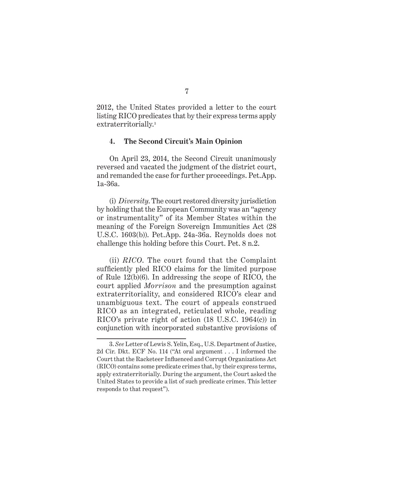2012, the United States provided a letter to the court listing RICO predicates that by their express terms apply extraterritorially.<sup>3</sup>

#### **4. The Second Circuit's Main Opinion**

On April 23, 2014, the Second Circuit unanimously reversed and vacated the judgment of the district court, and remanded the case for further proceedings. Pet.App. 1a-36a.

(i) *Diversity*. The court restored diversity jurisdiction by holding that the European Community was an "agency or instrumentality" of its Member States within the meaning of the Foreign Sovereign Immunities Act (28 U.S.C. 1603(b)). Pet.App. 24a-36a. Reynolds does not challenge this holding before this Court. Pet. 8 n.2.

(ii) *RICO*. The court found that the Complaint sufficiently pled RICO claims for the limited purpose of Rule 12(b)(6). In addressing the scope of RICO, the court applied *Morrison* and the presumption against extraterritoriality, and considered RICO's clear and unambiguous text. The court of appeals construed RICO as an integrated, reticulated whole, reading RICO's private right of action (18 U.S.C. 1964(c)) in conjunction with incorporated substantive provisions of

<sup>3.</sup> *See* Letter of Lewis S. Yelin, Esq., U.S. Department of Justice, 2d Cir. Dkt. ECF No. 114 ("At oral argument . . . I informed the Court that the Racketeer Influenced and Corrupt Organizations Act (RICO) contains some predicate crimes that, by their express terms, apply extraterritorially. During the argument, the Court asked the United States to provide a list of such predicate crimes. This letter responds to that request").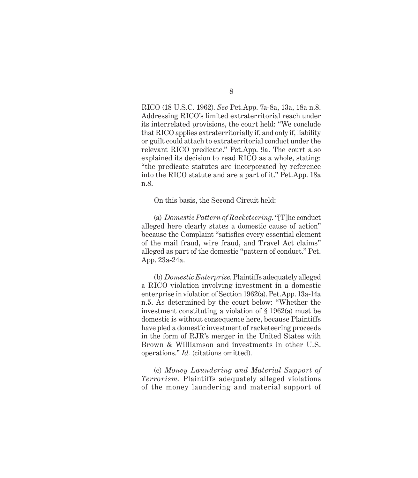RICO (18 U.S.C. 1962). *See* Pet.App. 7a-8a, 13a, 18a n.8. Addressing RICO's limited extraterritorial reach under its interrelated provisions, the court held: "We conclude that RICO applies extraterritorially if, and only if, liability or guilt could attach to extraterritorial conduct under the relevant RICO predicate." Pet.App. 9a. The court also explained its decision to read RICO as a whole, stating: "the predicate statutes are incorporated by reference into the RICO statute and are a part of it." Pet.App. 18a n.8.

On this basis, the Second Circuit held:

(a) *Domestic Pattern of Racketeering*. "[T]he conduct alleged here clearly states a domestic cause of action" because the Complaint "satisfies every essential element of the mail fraud, wire fraud, and Travel Act claims" alleged as part of the domestic "pattern of conduct." Pet. App. 23a-24a.

(b) *Domestic Enterprise*. Plaintiffs adequately alleged a RICO violation involving investment in a domestic enterprise in violation of Section 1962(a). Pet.App. 13a-14a n.5. As determined by the court below: "Whether the investment constituting a violation of § 1962(a) must be domestic is without consequence here, because Plaintiffs have pled a domestic investment of racketeering proceeds in the form of RJR's merger in the United States with Brown & Williamson and investments in other U.S. operations." *Id.* (citations omitted).

(c) *Money Laundering and Material Support of Terrorism*. Plaintiffs adequately alleged violations of the money laundering and material support of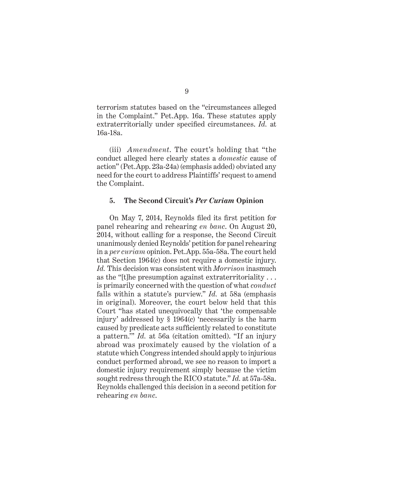terrorism statutes based on the "circumstances alleged in the Complaint." Pet.App. 16a. These statutes apply extraterritorially under specified circumstances. *Id.* at 16a-18a.

(iii) *Amendment*. The court's holding that "the conduct alleged here clearly states a *domestic* cause of action" (Pet.App. 23a-24a) (emphasis added) obviated any need for the court to address Plaintiffs' request to amend the Complaint.

#### **5. The Second Circuit's** *Per Curiam* **Opinion**

On May 7, 2014, Reynolds filed its first petition for panel rehearing and rehearing *en banc*. On August 20, 2014, without calling for a response, the Second Circuit unanimously denied Reynolds' petition for panel rehearing in a *per curiam* opinion. Pet.App. 55a-58a. The court held that Section 1964(c) does not require a domestic injury. *Id.* This decision was consistent with *Morrison* inasmuch as the "[t]he presumption against extraterritoriality . . . is primarily concerned with the question of what *conduct*  falls within a statute's purview." *Id.* at 58a (emphasis in original). Moreover, the court below held that this Court "has stated unequivocally that 'the compensable injury' addressed by § 1964(c) 'necessarily is the harm caused by predicate acts sufficiently related to constitute a pattern.'" *Id.* at 56a (citation omitted). "If an injury abroad was proximately caused by the violation of a statute which Congress intended should apply to injurious conduct performed abroad, we see no reason to import a domestic injury requirement simply because the victim sought redress through the RICO statute." *Id.* at 57a-58a. Reynolds challenged this decision in a second petition for rehearing *en banc*.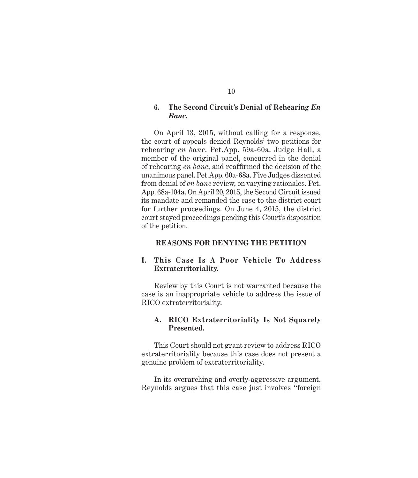## **6. The Second Circuit's Denial of Rehearing** *En Banc***.**

On April 13, 2015, without calling for a response, the court of appeals denied Reynolds' two petitions for rehearing *en banc*. Pet.App. 59a-60a. Judge Hall, a member of the original panel, concurred in the denial of rehearing *en banc*, and reaffirmed the decision of the unanimous panel. Pet.App. 60a-68a. Five Judges dissented from denial of *en banc* review, on varying rationales. Pet. App. 68a-104a. On April 20, 2015, the Second Circuit issued its mandate and remanded the case to the district court for further proceedings. On June 4, 2015, the district court stayed proceedings pending this Court's disposition of the petition.

#### **REASONS FOR DENYING THE PETITION**

# **I. This Case Is A Poor Vehicle To Address Extraterritoriality.**

Review by this Court is not warranted because the case is an inappropriate vehicle to address the issue of RICO extraterritoriality.

## **A. RICO Extraterritoriality Is Not Squarely Presented.**

This Court should not grant review to address RICO extraterritoriality because this case does not present a genuine problem of extraterritoriality.

In its overarching and overly-aggressive argument, Reynolds argues that this case just involves "foreign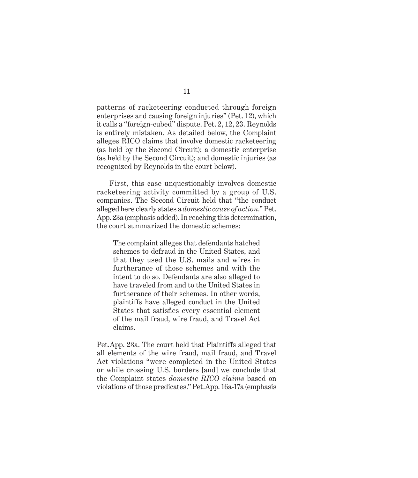patterns of racketeering conducted through foreign enterprises and causing foreign injuries" (Pet. 12), which it calls a "foreign-cubed" dispute. Pet. 2, 12, 23. Reynolds is entirely mistaken. As detailed below, the Complaint alleges RICO claims that involve domestic racketeering (as held by the Second Circuit); a domestic enterprise (as held by the Second Circuit); and domestic injuries (as recognized by Reynolds in the court below).

First, this case unquestionably involves domestic racketeering activity committed by a group of U.S. companies. The Second Circuit held that "the conduct alleged here clearly states a *domestic cause of action*." Pet. App. 23a (emphasis added). In reaching this determination, the court summarized the domestic schemes:

The complaint alleges that defendants hatched schemes to defraud in the United States, and that they used the U.S. mails and wires in furtherance of those schemes and with the intent to do so. Defendants are also alleged to have traveled from and to the United States in furtherance of their schemes. In other words, plaintiffs have alleged conduct in the United States that satisfies every essential element of the mail fraud, wire fraud, and Travel Act claims.

Pet.App. 23a. The court held that Plaintiffs alleged that all elements of the wire fraud, mail fraud, and Travel Act violations "were completed in the United States or while crossing U.S. borders [and] we conclude that the Complaint states *domestic RICO claims* based on violations of those predicates." Pet.App. 16a-17a (emphasis

## 11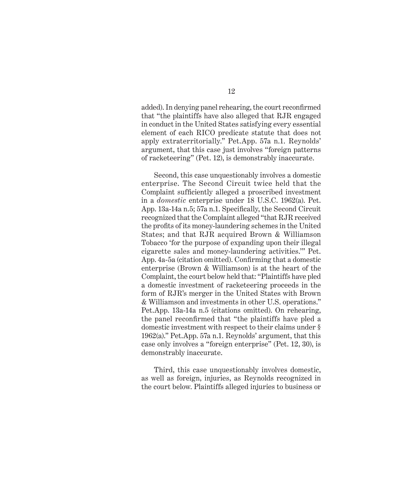added). In denying panel rehearing, the court reconfirmed that "the plaintiffs have also alleged that RJR engaged in conduct in the United States satisfying every essential element of each RICO predicate statute that does not apply extraterritorially." Pet.App. 57a n.1. Reynolds' argument, that this case just involves "foreign patterns of racketeering" (Pet. 12), is demonstrably inaccurate.

Second, this case unquestionably involves a domestic enterprise. The Second Circuit twice held that the Complaint sufficiently alleged a proscribed investment in a *domestic* enterprise under 18 U.S.C. 1962(a). Pet. App. 13a-14a n.5; 57a n.1. Specifically, the Second Circuit recognized that the Complaint alleged "that RJR received the profits of its money-laundering schemes in the United States; and that RJR acquired Brown & Williamson Tobacco 'for the purpose of expanding upon their illegal cigarette sales and money-laundering activities.'" Pet. App. 4a-5a (citation omitted). Confirming that a domestic enterprise (Brown & Williamson) is at the heart of the Complaint, the court below held that: "Plaintiffs have pled a domestic investment of racketeering proceeds in the form of RJR's merger in the United States with Brown & Williamson and investments in other U.S. operations." Pet.App. 13a-14a n.5 (citations omitted). On rehearing, the panel reconfirmed that "the plaintiffs have pled a domestic investment with respect to their claims under § 1962(a)." Pet.App. 57a n.1. Reynolds' argument, that this case only involves a "foreign enterprise" (Pet. 12, 30), is demonstrably inaccurate.

Third, this case unquestionably involves domestic, as well as foreign, injuries, as Reynolds recognized in the court below. Plaintiffs alleged injuries to business or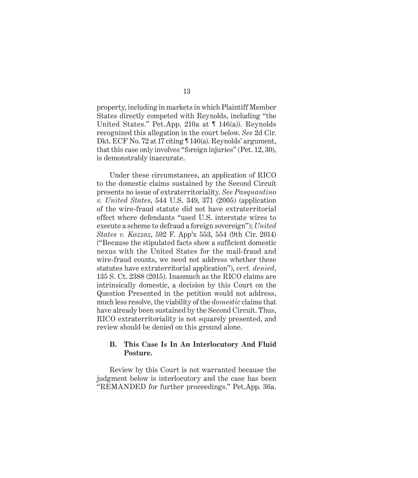property, including in markets in which Plaintiff Member States directly competed with Reynolds, including "the United States." Pet.App. 210a at ¶ 146(a)). Reynolds recognized this allegation in the court below. *See* 2d Cir. Dkt. ECF No. 72 at 17 citing ¶ 146(a). Reynolds' argument, that this case only involves "foreign injuries" (Pet. 12, 30), is demonstrably inaccurate.

Under these circumstances, an application of RICO to the domestic claims sustained by the Second Circuit presents no issue of extraterritoriality. *See Pasquantino v. United States*, 544 U.S. 349, 371 (2005) (application of the wire-fraud statute did not have extraterritorial effect where defendants "used U.S. interstate wires to execute a scheme to defraud a foreign sovereign"); *United States v. Kazzaz*, 592 F. App'x 553, 554 (9th Cir. 2014) ("Because the stipulated facts show a sufficient domestic nexus with the United States for the mail-fraud and wire-fraud counts, we need not address whether these statutes have extraterritorial application"), *cert. denied*, 135 S. Ct. 2388 (2015). Inasmuch as the RICO claims are intrinsically domestic, a decision by this Court on the Question Presented in the petition would not address, much less resolve, the viability of the *domestic* claims that have already been sustained by the Second Circuit. Thus, RICO extraterritoriality is not squarely presented, and review should be denied on this ground alone.

### **B. This Case Is In An Interlocutory And Fluid Posture.**

Review by this Court is not warranted because the judgment below is interlocutory and the case has been "REMANDED for further proceedings." Pet.App. 36a.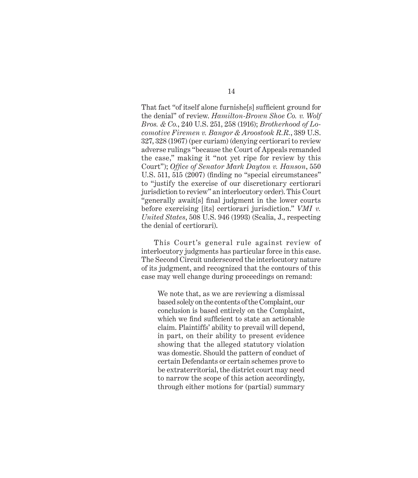That fact "of itself alone furnishe<sup>[s]</sup> sufficient ground for the denial" of review. *Hamilton-Brown Shoe Co. v. Wolf Bros. & Co.*, 240 U.S. 251, 258 (1916); *Brotherhood of Locomotive Firemen v. Bangor & Aroostook R.R.*, 389 U.S. 327, 328 (1967) (per curiam) (denying certiorari to review adverse rulings "because the Court of Appeals remanded the case," making it "not yet ripe for review by this Court"); Office of Senator Mark Dayton v. Hanson, 550 U.S. 511, 515 (2007) (finding no "special circumstances" to "justify the exercise of our discretionary certiorari jurisdiction to review" an interlocutory order). This Court "generally await[s] final judgment in the lower courts before exercising [its] certiorari jurisdiction." *VMI v. United States*, 508 U.S. 946 (1993) (Scalia, J., respecting the denial of certiorari).

This Court's general rule against review of interlocutory judgments has particular force in this case. The Second Circuit underscored the interlocutory nature of its judgment, and recognized that the contours of this case may well change during proceedings on remand:

We note that, as we are reviewing a dismissal based solely on the contents of the Complaint, our conclusion is based entirely on the Complaint, which we find sufficient to state an actionable claim. Plaintiffs' ability to prevail will depend, in part, on their ability to present evidence showing that the alleged statutory violation was domestic. Should the pattern of conduct of certain Defendants or certain schemes prove to be extraterritorial, the district court may need to narrow the scope of this action accordingly, through either motions for (partial) summary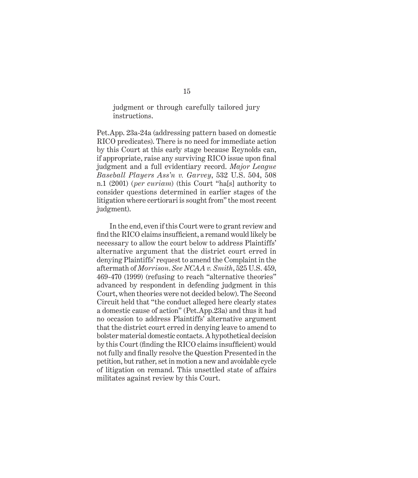## judgment or through carefully tailored jury instructions.

Pet.App. 23a-24a (addressing pattern based on domestic RICO predicates). There is no need for immediate action by this Court at this early stage because Reynolds can, if appropriate, raise any surviving RICO issue upon final judgment and a full evidentiary record. *Major League Baseball Players Ass'n v. Garvey*, 532 U.S. 504, 508 n.1 (2001) (*per curiam*) (this Court "ha[s] authority to consider questions determined in earlier stages of the litigation where certiorari is sought from" the most recent judgment).

In the end, even if this Court were to grant review and find the RICO claims insufficient, a remand would likely be necessary to allow the court below to address Plaintiffs' alternative argument that the district court erred in denying Plaintiffs' request to amend the Complaint in the aftermath of *Morrison*. *See NCAA v. Smith*, 525 U.S. 459, 469-470 (1999) (refusing to reach "alternative theories" advanced by respondent in defending judgment in this Court, when theories were not decided below). The Second Circuit held that "the conduct alleged here clearly states a domestic cause of action" (Pet.App.23a) and thus it had no occasion to address Plaintiffs' alternative argument that the district court erred in denying leave to amend to bolster material domestic contacts. A hypothetical decision by this Court (finding the RICO claims insufficient) would not fully and finally resolve the Question Presented in the petition, but rather, set in motion a new and avoidable cycle of litigation on remand. This unsettled state of affairs militates against review by this Court.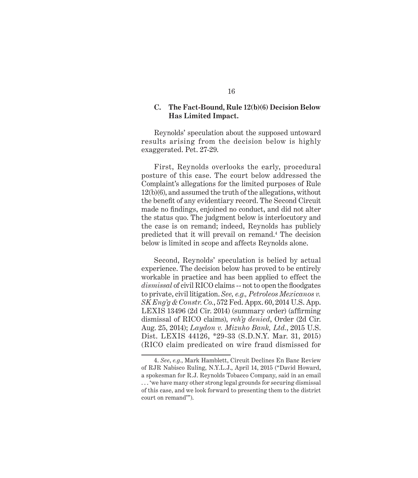### **C. The Fact-Bound, Rule 12(b)(6) Decision Below Has Limited Impact.**

Reynolds' speculation about the supposed untoward results arising from the decision below is highly exaggerated. Pet. 27-29.

First, Reynolds overlooks the early, procedural posture of this case. The court below addressed the Complaint's allegations for the limited purposes of Rule 12(b)(6), and assumed the truth of the allegations, without the benefit of any evidentiary record. The Second Circuit made no findings, enjoined no conduct, and did not alter the status quo. The judgment below is interlocutory and the case is on remand; indeed, Reynolds has publicly predicted that it will prevail on remand.4 The decision below is limited in scope and affects Reynolds alone.

Second, Reynolds' speculation is belied by actual experience. The decision below has proved to be entirely workable in practice and has been applied to effect the *dismissal* of civil RICO claims -- not to open the floodgates to private, civil litigation. *See, e.g., Petroleos Mexicanos v. SK Eng'g & Constr. Co.*, 572 Fed. Appx. 60, 2014 U.S. App. LEXIS 13496 (2d Cir. 2014) (summary order) (affirming dismissal of RICO claims), *reh'g denied*, Order (2d Cir. Aug. 25, 2014); *Laydon v. Mizuho Bank, Ltd.*, 2015 U.S. Dist. LEXIS 44126, \*29-33 (S.D.N.Y. Mar. 31, 2015) (RICO claim predicated on wire fraud dismissed for

<sup>4.</sup> *See*, *e.g.*, Mark Hamblett, Circuit Declines En Banc Review of RJR Nabisco Ruling, N.Y.L.J., April 14, 2015 ("David Howard, a spokesman for R.J. Reynolds Tobacco Company, said in an email . . . 'we have many other strong legal grounds for securing dismissal of this case, and we look forward to presenting them to the district court on remand'").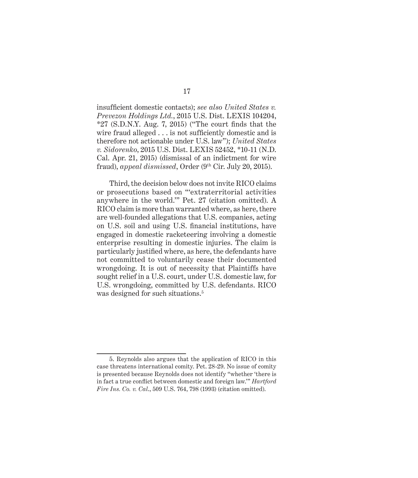insufficient domestic contacts); *see also United States v. Prevezon Holdings Ltd.*, 2015 U.S. Dist. LEXIS 104204,  $*27$  (S.D.N.Y. Aug. 7, 2015) ("The court finds that the wire fraud alleged  $\dots$  is not sufficiently domestic and is therefore not actionable under U.S. law"); *United States v. Sidorenko*, 2015 U.S. Dist. LEXIS 52452, \*10-11 (N.D. Cal. Apr. 21, 2015) (dismissal of an indictment for wire fraud), *appeal dismissed*, Order (9th Cir. July 20, 2015).

Third, the decision below does not invite RICO claims or prosecutions based on "'extraterritorial activities anywhere in the world.'" Pet. 27 (citation omitted). A RICO claim is more than warranted where, as here, there are well-founded allegations that U.S. companies, acting on U.S. soil and using U.S. financial institutions, have engaged in domestic racketeering involving a domestic enterprise resulting in domestic injuries. The claim is particularly justified where, as here, the defendants have not committed to voluntarily cease their documented wrongdoing. It is out of necessity that Plaintiffs have sought relief in a U.S. court, under U.S. domestic law, for U.S. wrongdoing, committed by U.S. defendants. RICO was designed for such situations.<sup>5</sup>

<sup>5.</sup> Reynolds also argues that the application of RICO in this case threatens international comity. Pet. 28-29. No issue of comity is presented because Reynolds does not identify "whether 'there is in fact a true conflict between domestic and foreign law." *Hartford Fire Ins. Co. v. Cal*., 509 U.S. 764, 798 (1993) (citation omitted).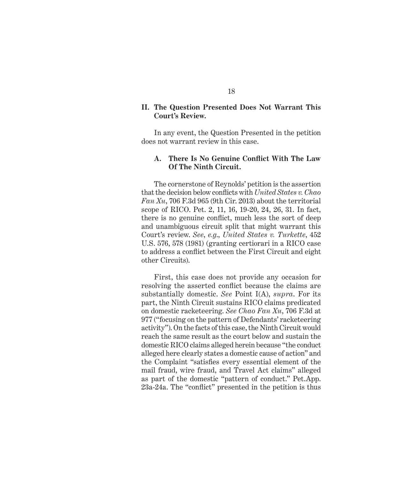### **II. The Question Presented Does Not Warrant This Court's Review.**

In any event, the Question Presented in the petition does not warrant review in this case.

#### A. There Is No Genuine Conflict With The Law **Of The Ninth Circuit.**

The cornerstone of Reynolds' petition is the assertion that the decision below conflicts with *United States v. Chao Fan Xu*, 706 F.3d 965 (9th Cir. 2013) about the territorial scope of RICO. Pet. 2, 11, 16, 19-20, 24, 26, 31. In fact, there is no genuine conflict, much less the sort of deep and unambiguous circuit split that might warrant this Court's review. *See*, *e.g*., *United States v. Turkette*, 452 U.S. 576, 578 (1981) (granting certiorari in a RICO case to address a conflict between the First Circuit and eight other Circuits).

First, this case does not provide any occasion for resolving the asserted conflict because the claims are substantially domestic. *See* Point I(A), *supra*. For its part, the Ninth Circuit sustains RICO claims predicated on domestic racketeering. *See Chao Fan Xu*, 706 F.3d at 977 ("focusing on the pattern of Defendants' racketeering activity"). On the facts of this case, the Ninth Circuit would reach the same result as the court below and sustain the domestic RICO claims alleged herein because "the conduct alleged here clearly states a domestic cause of action" and the Complaint "satisfies every essential element of the mail fraud, wire fraud, and Travel Act claims" alleged as part of the domestic "pattern of conduct." Pet.App. 23a-24a. The "conflict" presented in the petition is thus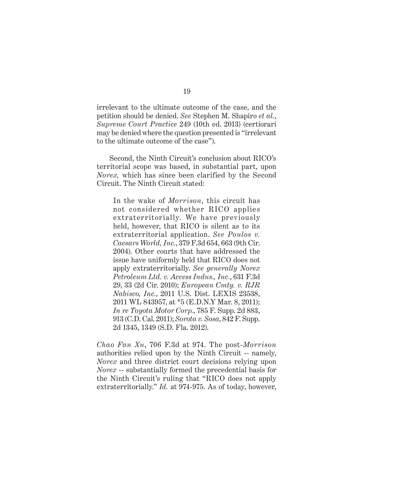irrelevant to the ultimate outcome of the case, and the petition should be denied. *See* Stephen M. Shapiro *et al.*, *Supreme Court Practice* 249 (10th ed. 2013) (certiorari may be denied where the question presented is "irrelevant to the ultimate outcome of the case").

Second, the Ninth Circuit's conclusion about RICO's territorial scope was based, in substantial part, upon *Norex,* which has since been clarified by the Second Circuit. The Ninth Circuit stated:

In the wake of *Morrison*, this circuit has not considered whether RICO applies extraterritorially. We have previously held, however, that RICO is silent as to its extraterritorial application. *See Poulos v. Caesars World, Inc.*, 379 F.3d 654, 663 (9th Cir. 2004). Other courts that have addressed the issue have uniformly held that RICO does not apply extraterritorially. *See generally Norex Petroleum Ltd. v. Access Indus., Inc.*, 631 F.3d 29, 33 (2d Cir. 2010); *European Cmty. v. RJR Nabisco, Inc.*, 2011 U.S. Dist. LEXIS 23538, 2011 WL 843957, at \*5 (E.D.N.Y Mar. 8, 2011); *In re Toyota Motor Corp.*, 785 F. Supp. 2d 883, 913 (C.D. Cal. 2011); *Sorota v. Sosa*, 842 F. Supp. 2d 1345, 1349 (S.D. Fla. 2012).

*Chao Fan Xu*, 706 F.3d at 974. The post-*Morrison* authorities relied upon by the Ninth Circuit -- namely, *Norex* and three district court decisions relying upon *Norex* -- substantially formed the precedential basis for the Ninth Circuit's ruling that "RICO does not apply extraterritorially." *Id.* at 974-975. As of today, however,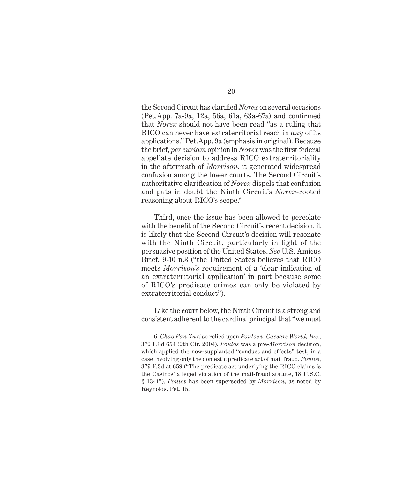the Second Circuit has clarified *Norex* on several occasions  $(Pet. App. 7a-9a, 12a, 56a, 61a, 63a-67a)$  and confirmed that *Norex* should not have been read "as a ruling that RICO can never have extraterritorial reach in *any* of its applications." Pet.App. 9a (emphasis in original). Because the brief, *per curiam* opinion in *Norex* was the first federal appellate decision to address RICO extraterritoriality in the aftermath of *Morrison*, it generated widespread confusion among the lower courts. The Second Circuit's authoritative clarification of *Norex* dispels that confusion and puts in doubt the Ninth Circuit's *Norex*-rooted reasoning about RICO's scope.<sup>6</sup>

Third, once the issue has been allowed to percolate with the benefit of the Second Circuit's recent decision, it is likely that the Second Circuit's decision will resonate with the Ninth Circuit, particularly in light of the persuasive position of the United States. *See* U.S. Amicus Brief, 9-10 n.3 ("the United States believes that RICO meets *Morrison's* requirement of a 'clear indication of an extraterritorial application' in part because some of RICO's predicate crimes can only be violated by extraterritorial conduct").

Like the court below, the Ninth Circuit is a strong and consistent adherent to the cardinal principal that "we must

<sup>6.</sup> *Chao Fan Xu* also relied upon *Poulos v. Caesars World, Inc.*, 379 F.3d 654 (9th Cir. 2004). *Poulos* was a pre-*Morrison* decision, which applied the now-supplanted "conduct and effects" test, in a case involving only the domestic predicate act of mail fraud. *Poulos*, 379 F.3d at 659 ("The predicate act underlying the RICO claims is the Casinos' alleged violation of the mail-fraud statute, 18 U.S.C. § 1341"). *Poulos* has been superseded by *Morrison*, as noted by Reynolds. Pet. 15.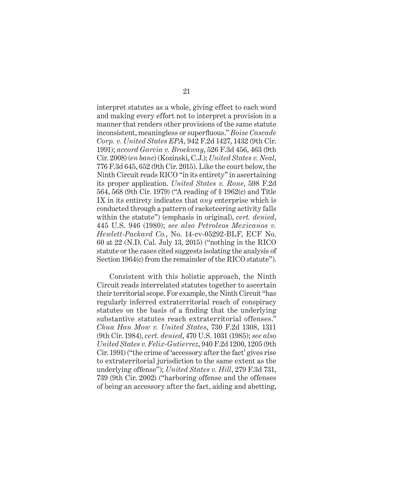interpret statutes as a whole, giving effect to each word and making every effort not to interpret a provision in a manner that renders other provisions of the same statute inconsistent, meaningless or superfluous." *Boise Cascade Corp. v. United States EPA*, 942 F.2d 1427, 1432 (9th Cir. 1991); *accord Garcia v. Brockway*, 526 F.3d 456, 463 (9th Cir. 2008) (*en banc*) (Kozinski, C.J.); *United States v. Neal*, 776 F.3d 645, 652 (9th Cir. 2015). Like the court below, the Ninth Circuit reads RICO "in its entirety" in ascertaining its proper application. *United States v. Rone*, 598 F.2d 564, 568 (9th Cir. 1979) ("A reading of § 1962(c) and Title IX in its entirety indicates that *any* enterprise which is conducted through a pattern of racketeering activity falls within the statute") (emphasis in original), *cert. denied*, 445 U.S. 946 (1980); *see also Petroleos Mexicanos v. Hewlett-Packard Co.*, No. 14-cv-05292-BLF, ECF No. 60 at 22 (N.D. Cal. July 13, 2015) ("nothing in the RICO statute or the cases cited suggests isolating the analysis of Section 1964(c) from the remainder of the RICO statute").

Consistent with this holistic approach, the Ninth Circuit reads interrelated statutes together to ascertain their territorial scope. For example, the Ninth Circuit "has regularly inferred extraterritorial reach of conspiracy statutes on the basis of a finding that the underlying substantive statutes reach extraterritorial offenses." *Chua Han Mow v. United States*, 730 F.2d 1308, 1311 (9th Cir. 1984), *cert. denied*, 470 U.S. 1031 (1985); *see also United States v. Felix-Gutierrez*, 940 F.2d 1200, 1205 (9th Cir. 1991) ("the crime of 'accessory after the fact' gives rise to extraterritorial jurisdiction to the same extent as the underlying offense"); *United States v. Hill*, 279 F.3d 731, 739 (9th Cir. 2002) ("harboring offense and the offenses of being an accessory after the fact, aiding and abetting,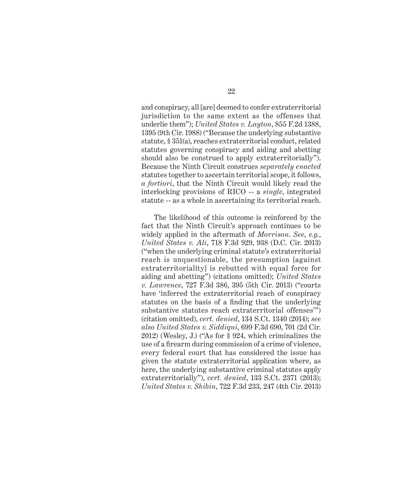and conspiracy, all [are] deemed to confer extraterritorial jurisdiction to the same extent as the offenses that underlie them"); *United States v. Layton*, 855 F.2d 1388, 1395 (9th Cir. 1988) ("Because the underlying substantive statute, § 351(a), reaches extraterritorial conduct, related statutes governing conspiracy and aiding and abetting should also be construed to apply extraterritorially"). Because the Ninth Circuit construes *separately enacted* statutes together to ascertain territorial scope, it follows, *a fortiori*, that the Ninth Circuit would likely read the interlocking provisions of RICO -- a *single*, integrated statute -- as a whole in ascertaining its territorial reach.

The likelihood of this outcome is reinforced by the fact that the Ninth Circuit's approach continues to be widely applied in the aftermath of *Morrison*. *See*, *e.g.*, *United States v. Ali*, 718 F.3d 929, 938 (D.C. Cir. 2013) ("when the underlying criminal statute's extraterritorial reach is unquestionable, the presumption [against extraterritoriality] is rebutted with equal force for aiding and abetting") (citations omitted); *United States v. Lawrence*, 727 F.3d 386, 395 (5th Cir. 2013) ("courts have 'inferred the extraterritorial reach of conspiracy statutes on the basis of a finding that the underlying substantive statutes reach extraterritorial offenses'") (citation omitted), *cert. denied*, 134 S.Ct. 1340 (2014); *see also United States v. Siddiqui*, 699 F.3d 690, 701 (2d Cir. 2012) (Wesley, J.) ("As for § 924, which criminalizes the use of a firearm during commission of a crime of violence, every federal court that has considered the issue has given the statute extraterritorial application where, as here, the underlying substantive criminal statutes apply extraterritorially"), *cert. denied*, 133 S.Ct. 2371 (2013); *United States v. Shibin*, 722 F.3d 233, 247 (4th Cir. 2013)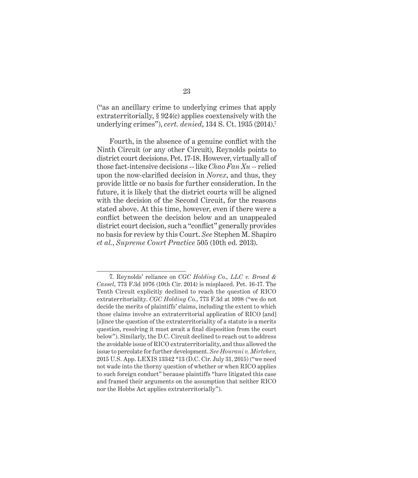("as an ancillary crime to underlying crimes that apply extraterritorially, § 924(c) applies coextensively with the underlying crimes"), *cert. denied*, 134 S. Ct. 1935 (2014).7

Fourth, in the absence of a genuine conflict with the Ninth Circuit (or any other Circuit), Reynolds points to district court decisions. Pet. 17-18. However, virtually all of those fact-intensive decisions -- like *Chao Fan Xu --* relied upon the now-clarified decision in *Norex*, and thus, they provide little or no basis for further consideration. In the future, it is likely that the district courts will be aligned with the decision of the Second Circuit, for the reasons stated above. At this time, however, even if there were a conflict between the decision below and an unappealed district court decision, such a "conflict" generally provides no basis for review by this Court. *See* Stephen M. Shapiro *et al.*, *Supreme Court Practice* 505 (10th ed. 2013).

<sup>7.</sup> Reynolds' reliance on *CGC Holding Co., LLC v. Broad & Cassel*, 773 F.3d 1076 (10th Cir. 2014) is misplaced. Pet. 16-17. The Tenth Circuit explicitly declined to reach the question of RICO extraterritoriality. *CGC Holding Co.*, 773 F.3d at 1098 ("we do not decide the merits of plaintiffs' claims, including the extent to which those claims involve an extraterritorial application of RICO [and] [s]ince the question of the extraterritoriality of a statute is a merits question, resolving it must await a final disposition from the court below"). Similarly, the D.C. Circuit declined to reach out to address the avoidable issue of RICO extraterritoriality, and thus allowed the issue to percolate for further development. *See Hourani v. Mirtchev*, 2015 U.S. App. LEXIS 13342 \*13 (D.C. Cir. July 31, 2015) ("we need not wade into the thorny question of whether or when RICO applies to such foreign conduct" because plaintiffs "have litigated this case and framed their arguments on the assumption that neither RICO nor the Hobbs Act applies extraterritorially").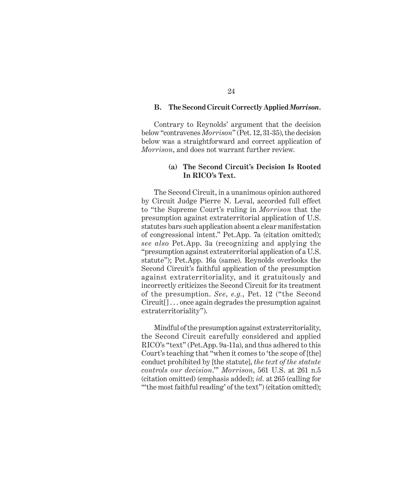#### **B. The Second Circuit Correctly Applied** *Morrison***.**

Contrary to Reynolds' argument that the decision below "contravenes *Morrison*" (Pet. 12, 31-35), the decision below was a straightforward and correct application of *Morrison*, and does not warrant further review.

# **(a) The Second Circuit's Decision Is Rooted In RICO's Text.**

The Second Circuit, in a unanimous opinion authored by Circuit Judge Pierre N. Leval, accorded full effect to "the Supreme Court's ruling in *Morrison* that the presumption against extraterritorial application of U.S. statutes bars such application absent a clear manifestation of congressional intent." Pet.App. 7a (citation omitted); *see also* Pet.App. 3a (recognizing and applying the "presumption against extraterritorial application of a U.S. statute"); Pet.App. 16a (same). Reynolds overlooks the Second Circuit's faithful application of the presumption against extraterritoriality, and it gratuitously and incorrectly criticizes the Second Circuit for its treatment of the presumption. *See*, *e.g.*, Pet. 12 ("the Second Circuit[] . . . once again degrades the presumption against extraterritoriality").

Mindful of the presumption against extraterritoriality, the Second Circuit carefully considered and applied RICO's "text" (Pet.App. 9a-11a), and thus adhered to this Court's teaching that "when it comes to 'the scope of [the] conduct prohibited by [the statute], *the text of the statute controls our decision*.'" *Morrison*, 561 U.S. at 261 n.5 (citation omitted) (emphasis added); *id.* at 265 (calling for "'the most faithful reading' of the text") (citation omitted);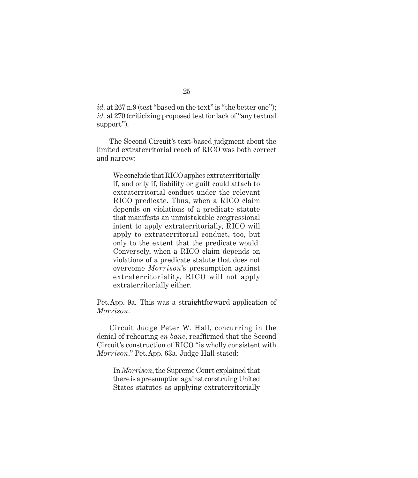id. at 267 n.9 (test "based on the text" is "the better one"); *id.* at 270 (criticizing proposed test for lack of "any textual support").

The Second Circuit's text-based judgment about the limited extraterritorial reach of RICO was both correct and narrow:

We conclude that RICO applies extraterritorially if, and only if, liability or guilt could attach to extraterritorial conduct under the relevant RICO predicate. Thus, when a RICO claim depends on violations of a predicate statute that manifests an unmistakable congressional intent to apply extraterritorially, RICO will apply to extraterritorial conduct, too, but only to the extent that the predicate would. Conversely, when a RICO claim depends on violations of a predicate statute that does not overcome *Morrison*'s presumption against extraterritoriality, RICO will not apply extraterritorially either.

Pet.App. 9a*.* This was a straightforward application of *Morrison*.

Circuit Judge Peter W. Hall, concurring in the denial of rehearing *en banc*, reaffirmed that the Second Circuit's construction of RICO "is wholly consistent with *Morrison*." Pet.App. 63a. Judge Hall stated:

In *Morrison*, the Supreme Court explained that there is a presumption against construing United States statutes as applying extraterritorially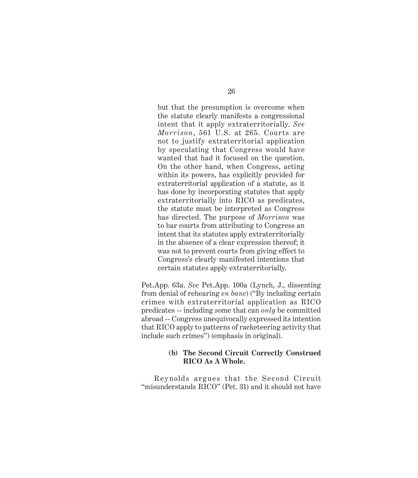but that the presumption is overcome when the statute clearly manifests a congressional intent that it apply extraterritorially. *See Morrison*, 561 U.S. at 265. Courts are not to justify extraterritorial application by speculating that Congress would have wanted that had it focused on the question. On the other hand, when Congress, acting within its powers, has explicitly provided for extraterritorial application of a statute, as it has done by incorporating statutes that apply extraterritorially into RICO as predicates, the statute must be interpreted as Congress has directed. The purpose of *Morrison* was to bar courts from attributing to Congress an intent that its statutes apply extraterritorially in the absence of a clear expression thereof; it was not to prevent courts from giving effect to Congress's clearly manifested intentions that certain statutes apply extraterritorially.

Pet.App. 63a. *See* Pet.App. 100a (Lynch, J., dissenting from denial of rehearing *en banc*) ("By including certain crimes with extraterritorial application as RICO predicates -- including some that can *only* be committed abroad -- Congress unequivocally expressed its intention that RICO apply to patterns of racketeering activity that include such crimes") (emphasis in original).

# **(b) The Second Circuit Correctly Construed RICO As A Whole.**

Reynolds argues that the Second Circuit "misunderstands RICO" (Pet. 31) and it should not have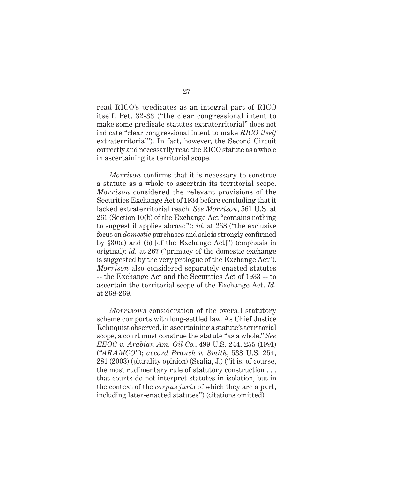read RICO's predicates as an integral part of RICO itself. Pet. 32-33 ("the clear congressional intent to make some predicate statutes extraterritorial" does not indicate "clear congressional intent to make *RICO itself* extraterritorial"). In fact, however, the Second Circuit correctly and necessarily read the RICO statute as a whole in ascertaining its territorial scope.

*Morrison* confirms that it is necessary to construe a statute as a whole to ascertain its territorial scope. *Morrison* considered the relevant provisions of the Securities Exchange Act of 1934 before concluding that it lacked extraterritorial reach. *See Morrison*, 561 U.S. at 261 (Section 10(b) of the Exchange Act "contains nothing to suggest it applies abroad"); *id.* at 268 ("the exclusive focus on *domestic* purchases and sale is strongly confirmed by §30(a) and (b) [of the Exchange Act]") (emphasis in original); *id.* at 267 ("primacy of the domestic exchange is suggested by the very prologue of the Exchange Act"). *Morrison* also considered separately enacted statutes -- the Exchange Act and the Securities Act of 1933 -- to ascertain the territorial scope of the Exchange Act. *Id.* at 268-269.

*Morrison's* consideration of the overall statutory scheme comports with long-settled law. As Chief Justice Rehnquist observed, in ascertaining a statute's territorial scope, a court must construe the statute "as a whole." *See EEOC v. Arabian Am. Oil Co.*, 499 U.S. 244, 255 (1991) ("*ARAMCO*"); *accord Branch v. Smith*, 538 U.S. 254, 281 (2003) (plurality opinion) (Scalia, J.) ("it is, of course, the most rudimentary rule of statutory construction . . . that courts do not interpret statutes in isolation, but in the context of the *corpus juris* of which they are a part, including later-enacted statutes") (citations omitted).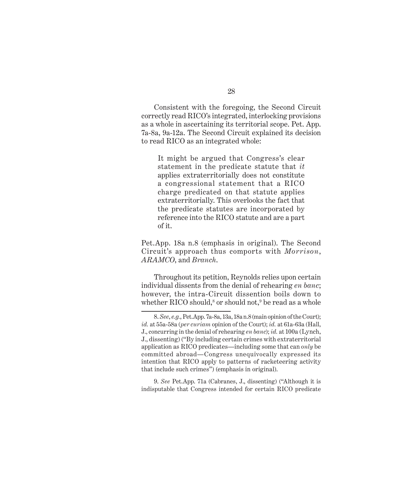Consistent with the foregoing, the Second Circuit correctly read RICO's integrated, interlocking provisions as a whole in ascertaining its territorial scope. Pet. App. 7a-8a, 9a-12a. The Second Circuit explained its decision to read RICO as an integrated whole:

It might be argued that Congress's clear statement in the predicate statute that *it* applies extraterritorially does not constitute a congressional statement that a RICO charge predicated on that statute applies extraterritorially. This overlooks the fact that the predicate statutes are incorporated by reference into the RICO statute and are a part of it.

Pet.App. 18a n.8 (emphasis in original). The Second Circuit's approach thus comports with *Morrison*, *ARAMCO*, and *Branch*.

Throughout its petition, Reynolds relies upon certain individual dissents from the denial of rehearing *en banc*; however, the intra-Circuit dissention boils down to whether RICO should, $^8$  or should not, $^9$  be read as a whole

9. *See* Pet.App. 71a (Cabranes, J., dissenting) ("Although it is indisputable that Congress intended for certain RICO predicate

<sup>8.</sup> *See*, *e.g.*, Pet.App. 7a-8a, 13a, 18a n.8 (main opinion of the Court); *id.* at 55a-58a (*per curiam* opinion of the Court); *id.* at 61a-63a (Hall, J., concurring in the denial of rehearing *en banc*); *id.* at 100a (Lynch, J., dissenting) ("By including certain crimes with extraterritorial application as RICO predicates—including some that can *only* be committed abroad—Congress unequivocally expressed its intention that RICO apply to patterns of racketeering activity that include such crimes") (emphasis in original).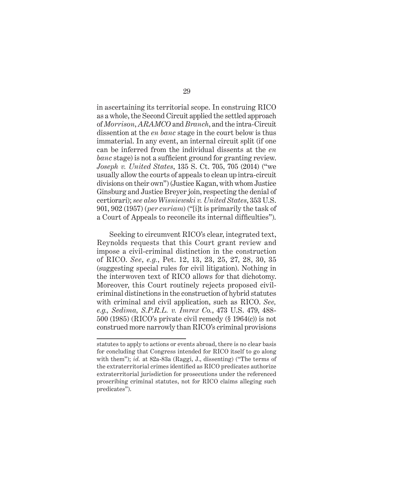in ascertaining its territorial scope. In construing RICO as a whole, the Second Circuit applied the settled approach of *Morrison*, *ARAMCO* and *Branch*, and the intra-Circuit dissention at the *en banc* stage in the court below is thus immaterial. In any event, an internal circuit split (if one can be inferred from the individual dissents at the *en banc* stage) is not a sufficient ground for granting review. *Joseph v. United States*, 135 S. Ct. 705, 705 (2014) ("we usually allow the courts of appeals to clean up intra-circuit divisions on their own") (Justice Kagan, with whom Justice Ginsburg and Justice Breyer join, respecting the denial of certiorari); *see also Wisniewski v. United States*, 353 U.S. 901, 902 (1957) (*per curiam*) ("[i]t is primarily the task of a Court of Appeals to reconcile its internal difficulties".

Seeking to circumvent RICO's clear, integrated text, Reynolds requests that this Court grant review and impose a civil-criminal distinction in the construction of RICO. *See*, *e.g.*, Pet. 12, 13, 23, 25, 27, 28, 30, 35 (suggesting special rules for civil litigation). Nothing in the interwoven text of RICO allows for that dichotomy. Moreover, this Court routinely rejects proposed civilcriminal distinctions in the construction of hybrid statutes with criminal and civil application, such as RICO. *See, e.g., Sedima, S.P.R.L. v. Imrex Co.*, 473 U.S. 479, 488- 500 (1985) (RICO's private civil remedy (§ 1964(c)) is not construed more narrowly than RICO's criminal provisions

statutes to apply to actions or events abroad, there is no clear basis for concluding that Congress intended for RICO itself to go along with them"); *id.* at 82a-83a (Raggi, J., dissenting) ("The terms of the extraterritorial crimes identified as RICO predicates authorize extraterritorial jurisdiction for prosecutions under the referenced proscribing criminal statutes, not for RICO claims alleging such predicates").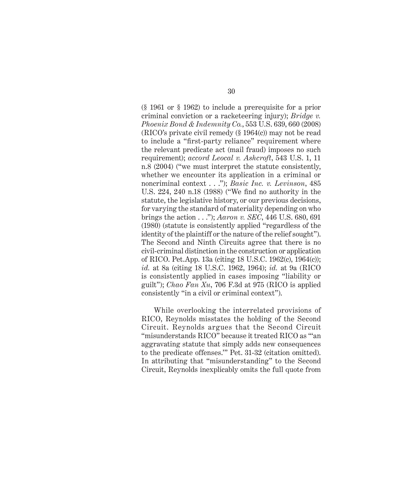(§ 1961 or § 1962) to include a prerequisite for a prior criminal conviction or a racketeering injury); *Bridge v. Phoenix Bond & Indemnity Co.*, 553 U.S. 639, 660 (2008) (RICO's private civil remedy (§ 1964(c)) may not be read to include a "first-party reliance" requirement where the relevant predicate act (mail fraud) imposes no such requirement); *accord Leocal v. Ashcroft*, 543 U.S. 1, 11 n.8 (2004) ("we must interpret the statute consistently, whether we encounter its application in a criminal or noncriminal context . . ."); *Basic Inc. v. Levinson*, 485 U.S. 224, 240 n.18 (1988) ("We find no authority in the statute, the legislative history, or our previous decisions, for varying the standard of materiality depending on who brings the action . . ."); *Aaron v. SEC*, 446 U.S. 680, 691 (1980) (statute is consistently applied "regardless of the identity of the plaintiff or the nature of the relief sought"). The Second and Ninth Circuits agree that there is no civil-criminal distinction in the construction or application of RICO. Pet.App. 13a (citing 18 U.S.C. 1962(c), 1964(c)); *id.* at 8a (citing 18 U.S.C. 1962, 1964); *id.* at 9a (RICO is consistently applied in cases imposing "liability or guilt"); *Chao Fan Xu*, 706 F.3d at 975 (RICO is applied consistently "in a civil or criminal context").

While overlooking the interrelated provisions of RICO, Reynolds misstates the holding of the Second Circuit. Reynolds argues that the Second Circuit "misunderstands RICO" because it treated RICO as "'an aggravating statute that simply adds new consequences to the predicate offenses.'" Pet. 31-32 (citation omitted). In attributing that "misunderstanding" to the Second Circuit, Reynolds inexplicably omits the full quote from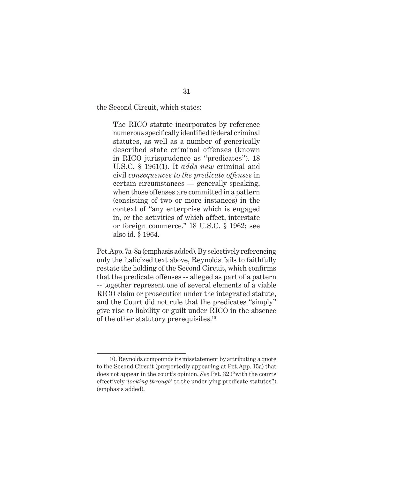the Second Circuit, which states:

The RICO statute incorporates by reference numerous specifically identified federal criminal statutes, as well as a number of generically described state criminal offenses (known in RICO jurisprudence as "predicates"). 18 U.S.C. § 1961(1). It *adds new* criminal and civil *consequences to the predicate offenses* in certain circumstances — generally speaking, when those offenses are committed in a pattern (consisting of two or more instances) in the context of "any enterprise which is engaged in, or the activities of which affect, interstate or foreign commerce." 18 U.S.C. § 1962; see also id. § 1964.

Pet.App. 7a-8a (emphasis added). By selectively referencing only the italicized text above, Reynolds fails to faithfully restate the holding of the Second Circuit, which confirms that the predicate offenses -- alleged as part of a pattern -- together represent one of several elements of a viable RICO claim or prosecution under the integrated statute, and the Court did not rule that the predicates "simply" give rise to liability or guilt under RICO in the absence of the other statutory prerequisites.10

<sup>10.</sup> Reynolds compounds its misstatement by attributing a quote to the Second Circuit (purportedly appearing at Pet.App. 15a) that does not appear in the court's opinion. *See* Pet. 32 ("with the courts effectively '*looking through*' to the underlying predicate statutes") (emphasis added).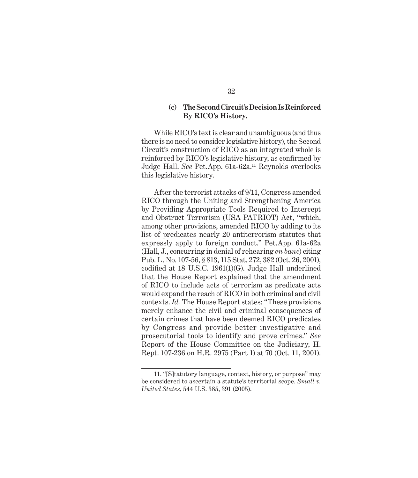## **(c) The Second Circuit's Decision Is Reinforced By RICO's History.**

While RICO's text is clear and unambiguous (and thus there is no need to consider legislative history), the Second Circuit's construction of RICO as an integrated whole is reinforced by RICO's legislative history, as confirmed by Judge Hall. *See* Pet.App. 61a-62a.11 Reynolds overlooks this legislative history.

After the terrorist attacks of 9/11, Congress amended RICO through the Uniting and Strengthening America by Providing Appropriate Tools Required to Intercept and Obstruct Terrorism (USA PATRIOT) Act, "which, among other provisions, amended RICO by adding to its list of predicates nearly 20 antiterrorism statutes that expressly apply to foreign conduct." Pet.App. 61a-62a (Hall, J., concurring in denial of rehearing *en banc*) citing Pub. L. No. 107-56, § 813, 115 Stat. 272, 382 (Oct. 26, 2001), codified at 18 U.S.C.  $1961(1)(G)$ . Judge Hall underlined that the House Report explained that the amendment of RICO to include acts of terrorism as predicate acts would expand the reach of RICO in both criminal and civil contexts. *Id.* The House Report states: "These provisions merely enhance the civil and criminal consequences of certain crimes that have been deemed RICO predicates by Congress and provide better investigative and prosecutorial tools to identify and prove crimes." *See* Report of the House Committee on the Judiciary, H. Rept. 107-236 on H.R. 2975 (Part 1) at 70 (Oct. 11, 2001).

<sup>11. &</sup>quot;[S]tatutory language, context, history, or purpose" may be considered to ascertain a statute's territorial scope. *Small v. United States*, 544 U.S. 385, 391 (2005).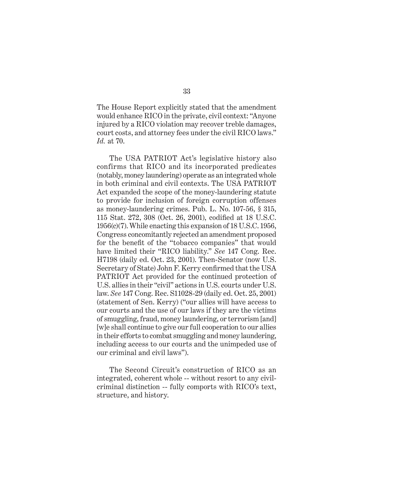The House Report explicitly stated that the amendment would enhance RICO in the private, civil context: "Anyone injured by a RICO violation may recover treble damages, court costs, and attorney fees under the civil RICO laws." *Id.* at 70.

The USA PATRIOT Act's legislative history also confirms that RICO and its incorporated predicates (notably, money laundering) operate as an integrated whole in both criminal and civil contexts. The USA PATRIOT Act expanded the scope of the money-laundering statute to provide for inclusion of foreign corruption offenses as money-laundering crimes. Pub. L. No. 107-56, § 315, 115 Stat. 272, 308 (Oct. 26, 2001), codified at 18 U.S.C. 1956(c)(7). While enacting this expansion of 18 U.S.C. 1956, Congress concomitantly rejected an amendment proposed for the benefit of the "tobacco companies" that would have limited their "RICO liability." *See* 147 Cong. Rec. H7198 (daily ed. Oct. 23, 2001). Then-Senator (now U.S. Secretary of State) John F. Kerry confirmed that the USA PATRIOT Act provided for the continued protection of U.S. allies in their "civil" actions in U.S. courts under U.S. law. *See* 147 Cong. Rec. S11028-29 (daily ed. Oct. 25, 2001) (statement of Sen. Kerry) ("our allies will have access to our courts and the use of our laws if they are the victims of smuggling, fraud, money laundering, or terrorism [and] [w]e shall continue to give our full cooperation to our allies in their efforts to combat smuggling and money laundering, including access to our courts and the unimpeded use of our criminal and civil laws").

The Second Circuit's construction of RICO as an integrated, coherent whole -- without resort to any civilcriminal distinction -- fully comports with RICO's text, structure, and history.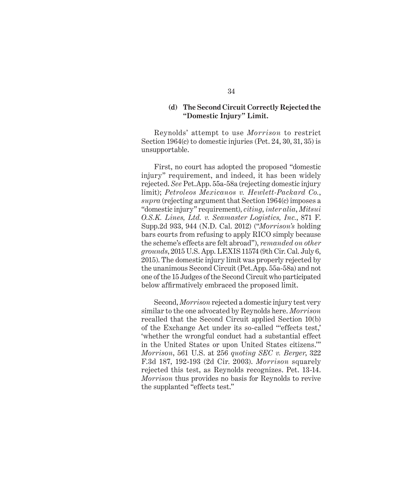### **(d) The Second Circuit Correctly Rejected the "Domestic Injury" Limit.**

Reynolds' attempt to use *Morrison* to restrict Section 1964(c) to domestic injuries (Pet. 24, 30, 31, 35) is unsupportable.

First, no court has adopted the proposed "domestic injury" requirement, and indeed, it has been widely rejected. *See* Pet.App. 55a-58a (rejecting domestic injury limit); *Petroleos Mexicanos v. Hewlett-Packard Co.*, *supra* (rejecting argument that Section 1964(c) imposes a "domestic injury" requirement), *citing*, *inter alia*, *Mitsui O.S.K. Lines, Ltd. v. Seamaster Logistics, Inc.*, 871 F. Supp.2d 933, 944 (N.D. Cal. 2012) ("*Morrison's* holding bars courts from refusing to apply RICO simply because the scheme's effects are felt abroad"), *remanded on other grounds*, 2015 U.S. App. LEXIS 11574 (9th Cir. Cal. July 6, 2015). The domestic injury limit was properly rejected by the unanimous Second Circuit (Pet.App. 55a-58a) and not one of the 15 Judges of the Second Circuit who participated below affirmatively embraced the proposed limit.

Second, *Morrison* rejected a domestic injury test very similar to the one advocated by Reynolds here. *Morrison* recalled that the Second Circuit applied Section 10(b) of the Exchange Act under its so-called "'effects test,' 'whether the wrongful conduct had a substantial effect in the United States or upon United States citizens.'" *Morrison*, 561 U.S. at 256 *quoting SEC v. Berger*, 322 F.3d 187, 192-193 (2d Cir. 2003). *Morrison* squarely rejected this test, as Reynolds recognizes. Pet. 13-14. *Morrison* thus provides no basis for Reynolds to revive the supplanted "effects test."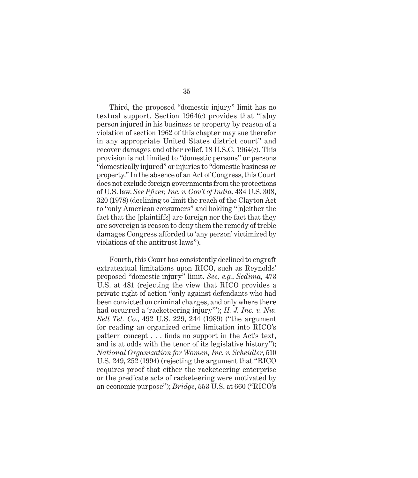Third, the proposed "domestic injury" limit has no textual support. Section 1964(c) provides that "[a]ny person injured in his business or property by reason of a violation of section 1962 of this chapter may sue therefor in any appropriate United States district court" and recover damages and other relief. 18 U.S.C. 1964(c). This provision is not limited to "domestic persons" or persons "domestically injured" or injuries to "domestic business or property." In the absence of an Act of Congress, this Court does not exclude foreign governments from the protections of U.S. law. *See Pfi zer, Inc. v. Gov't of India*, 434 U.S. 308, 320 (1978) (declining to limit the reach of the Clayton Act to "only American consumers" and holding "[n]either the fact that the [plaintiffs] are foreign nor the fact that they are sovereign is reason to deny them the remedy of treble damages Congress afforded to 'any person' victimized by violations of the antitrust laws").

Fourth, this Court has consistently declined to engraft extratextual limitations upon RICO, such as Reynolds' proposed "domestic injury" limit. *See, e.g.*, *Sedima,* 473 U.S. at 481 (rejecting the view that RICO provides a private right of action "only against defendants who had been convicted on criminal charges, and only where there had occurred a 'racketeering injury'"); *H. J. Inc. v. Nw. Bell Tel. Co.*, 492 U.S. 229, 244 (1989) ("the argument for reading an organized crime limitation into RICO's pattern concept  $\dots$  finds no support in the Act's text, and is at odds with the tenor of its legislative history"); *National Organization for Women, Inc. v. Scheidler*, 510 U.S. 249, 252 (1994) (rejecting the argument that "RICO requires proof that either the racketeering enterprise or the predicate acts of racketeering were motivated by an economic purpose"); *Bridge*, 553 U.S. at 660 ("RICO's